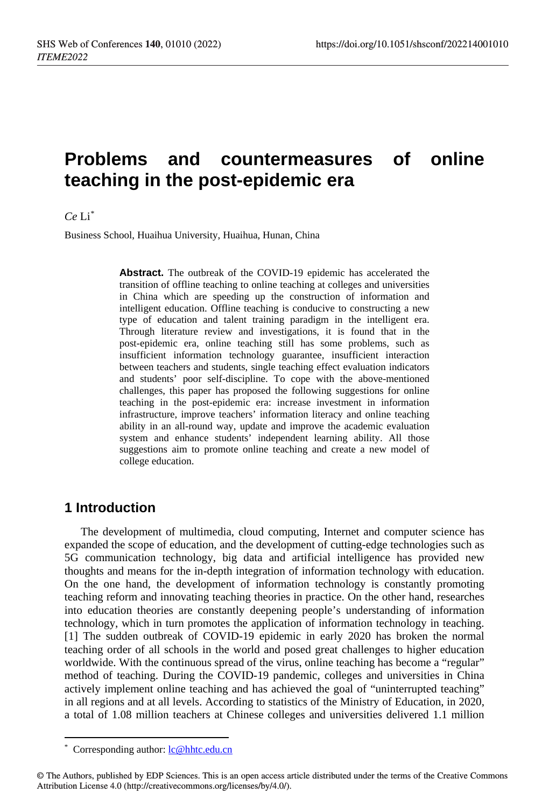# **Problems and countermeasures of online teaching in the post-epidemic era**

#### $C_{\rho}$  Li<sup>[\\*](#page-0-0)</sup>

Business School, Huaihua University, Huaihua, Hunan, China

**Abstract.** The outbreak of the COVID-19 epidemic has accelerated the transition of offline teaching to online teaching at colleges and universities in China which are speeding up the construction of information and intelligent education. Offline teaching is conducive to constructing a new type of education and talent training paradigm in the intelligent era. Through literature review and investigations, it is found that in the post-epidemic era, online teaching still has some problems, such as insufficient information technology guarantee, insufficient interaction between teachers and students, single teaching effect evaluation indicators and students' poor self-discipline. To cope with the above-mentioned challenges, this paper has proposed the following suggestions for online teaching in the post-epidemic era: increase investment in information infrastructure, improve teachers' information literacy and online teaching ability in an all-round way, update and improve the academic evaluation system and enhance students' independent learning ability. All those suggestions aim to promote online teaching and create a new model of college education.

### **1 Introduction**

The development of multimedia, cloud computing, Internet and computer science has expanded the scope of education, and the development of cutting-edge technologies such as 5G communication technology, big data and artificial intelligence has provided new thoughts and means for the in-depth integration of information technology with education. On the one hand, the development of information technology is constantly promoting teaching reform and innovating teaching theories in practice. On the other hand, researches into education theories are constantly deepening people's understanding of information technology, which in turn promotes the application of information technology in teaching. [1] The sudden outbreak of COVID-19 epidemic in early 2020 has broken the normal teaching order of all schools in the world and posed great challenges to higher education worldwide. With the continuous spread of the virus, online teaching has become a "regular" method of teaching. During the COVID-19 pandemic, colleges and universities in China actively implement online teaching and has achieved the goal of "uninterrupted teaching" in all regions and at all levels. According to statistics of the Ministry of Education, in 2020, a total of 1.08 million teachers at Chinese colleges and universities delivered 1.1 million

 $\overline{a}$ 

<sup>\*</sup> Corresponding author[: lc@hhtc.edu.cn](mailto:lc@hhtc.edu.cn)

<span id="page-0-0"></span><sup>©</sup> The Authors, published by EDP Sciences. This is an open access article distributed under the terms of the Creative Commons Attribution License 4.0 (http://creativecommons.org/licenses/by/4.0/).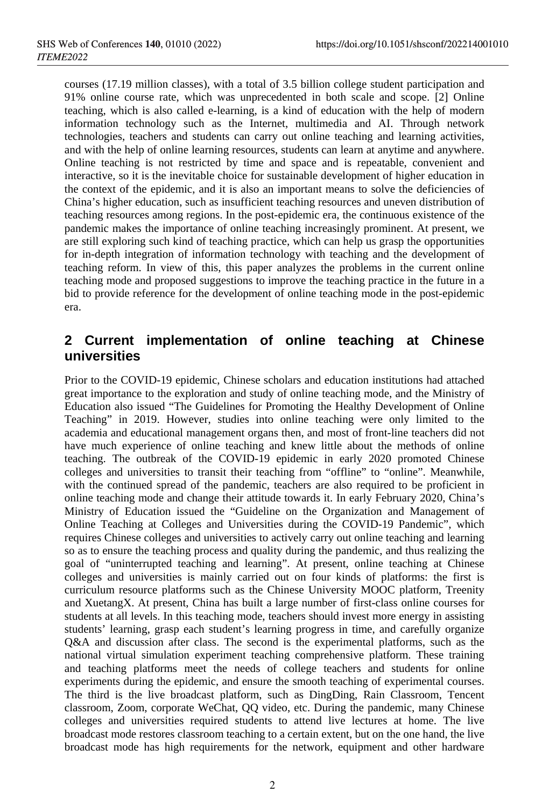courses (17.19 million classes), with a total of 3.5 billion college student participation and 91% online course rate, which was unprecedented in both scale and scope. [2] Online teaching, which is also called e-learning, is a kind of education with the help of modern information technology such as the Internet, multimedia and AI. Through network technologies, teachers and students can carry out online teaching and learning activities, and with the help of online learning resources, students can learn at anytime and anywhere. Online teaching is not restricted by time and space and is repeatable, convenient and interactive, so it is the inevitable choice for sustainable development of higher education in the context of the epidemic, and it is also an important means to solve the deficiencies of China's higher education, such as insufficient teaching resources and uneven distribution of teaching resources among regions. In the post-epidemic era, the continuous existence of the pandemic makes the importance of online teaching increasingly prominent. At present, we are still exploring such kind of teaching practice, which can help us grasp the opportunities for in-depth integration of information technology with teaching and the development of teaching reform. In view of this, this paper analyzes the problems in the current online teaching mode and proposed suggestions to improve the teaching practice in the future in a bid to provide reference for the development of online teaching mode in the post-epidemic era.

## **2 Current implementation of online teaching at Chinese universities**

Prior to the COVID-19 epidemic, Chinese scholars and education institutions had attached great importance to the exploration and study of online teaching mode, and the Ministry of Education also issued "The Guidelines for Promoting the Healthy Development of Online Teaching" in 2019. However, studies into online teaching were only limited to the academia and educational management organs then, and most of front-line teachers did not have much experience of online teaching and knew little about the methods of online teaching. The outbreak of the COVID-19 epidemic in early 2020 promoted Chinese colleges and universities to transit their teaching from "offline" to "online". Meanwhile, with the continued spread of the pandemic, teachers are also required to be proficient in online teaching mode and change their attitude towards it. In early February 2020, China's Ministry of Education issued the "Guideline on the Organization and Management of Online Teaching at Colleges and Universities during the COVID-19 Pandemic", which requires Chinese colleges and universities to actively carry out online teaching and learning so as to ensure the teaching process and quality during the pandemic, and thus realizing the goal of "uninterrupted teaching and learning". At present, online teaching at Chinese colleges and universities is mainly carried out on four kinds of platforms: the first is curriculum resource platforms such as the Chinese University MOOC platform, Treenity and XuetangX. At present, China has built a large number of first-class online courses for students at all levels. In this teaching mode, teachers should invest more energy in assisting students' learning, grasp each student's learning progress in time, and carefully organize Q&A and discussion after class. The second is the experimental platforms, such as the national virtual simulation experiment teaching comprehensive platform. These training and teaching platforms meet the needs of college teachers and students for online experiments during the epidemic, and ensure the smooth teaching of experimental courses. The third is the live broadcast platform, such as DingDing, Rain Classroom, Tencent classroom, Zoom, corporate WeChat, QQ video, etc. During the pandemic, many Chinese colleges and universities required students to attend live lectures at home. The live broadcast mode restores classroom teaching to a certain extent, but on the one hand, the live broadcast mode has high requirements for the network, equipment and other hardware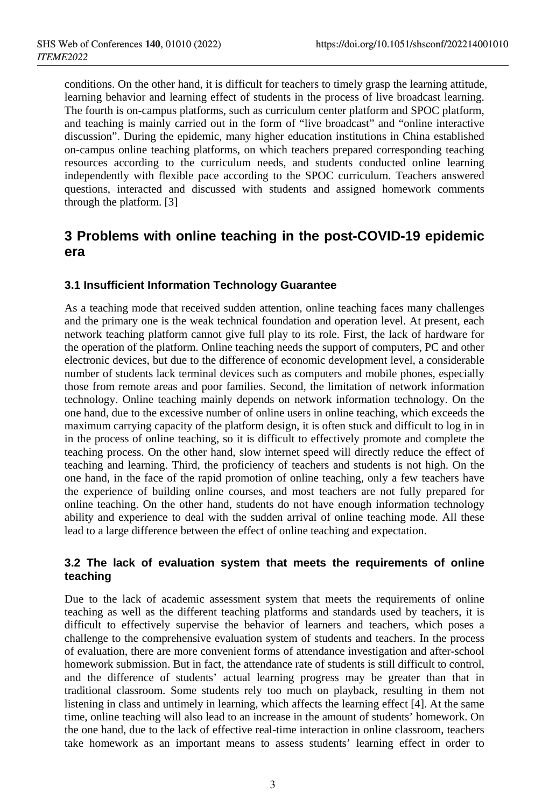conditions. On the other hand, it is difficult for teachers to timely grasp the learning attitude, learning behavior and learning effect of students in the process of live broadcast learning. The fourth is on-campus platforms, such as curriculum center platform and SPOC platform, and teaching is mainly carried out in the form of "live broadcast" and "online interactive discussion". During the epidemic, many higher education institutions in China established on-campus online teaching platforms, on which teachers prepared corresponding teaching resources according to the curriculum needs, and students conducted online learning independently with flexible pace according to the SPOC curriculum. Teachers answered questions, interacted and discussed with students and assigned homework comments through the platform. [3]

## **3 Problems with online teaching in the post-COVID-19 epidemic era**

#### **3.1 Insufficient Information Technology Guarantee**

As a teaching mode that received sudden attention, online teaching faces many challenges and the primary one is the weak technical foundation and operation level. At present, each network teaching platform cannot give full play to its role. First, the lack of hardware for the operation of the platform. Online teaching needs the support of computers, PC and other electronic devices, but due to the difference of economic development level, a considerable number of students lack terminal devices such as computers and mobile phones, especially those from remote areas and poor families. Second, the limitation of network information technology. Online teaching mainly depends on network information technology. On the one hand, due to the excessive number of online users in online teaching, which exceeds the maximum carrying capacity of the platform design, it is often stuck and difficult to log in in in the process of online teaching, so it is difficult to effectively promote and complete the teaching process. On the other hand, slow internet speed will directly reduce the effect of teaching and learning. Third, the proficiency of teachers and students is not high. On the one hand, in the face of the rapid promotion of online teaching, only a few teachers have the experience of building online courses, and most teachers are not fully prepared for online teaching. On the other hand, students do not have enough information technology ability and experience to deal with the sudden arrival of online teaching mode. All these lead to a large difference between the effect of online teaching and expectation.

#### **3.2 The lack of evaluation system that meets the requirements of online teaching**

Due to the lack of academic assessment system that meets the requirements of online teaching as well as the different teaching platforms and standards used by teachers, it is difficult to effectively supervise the behavior of learners and teachers, which poses a challenge to the comprehensive evaluation system of students and teachers. In the process of evaluation, there are more convenient forms of attendance investigation and after-school homework submission. But in fact, the attendance rate of students is still difficult to control, and the difference of students' actual learning progress may be greater than that in traditional classroom. Some students rely too much on playback, resulting in them not listening in class and untimely in learning, which affects the learning effect [4]. At the same time, online teaching will also lead to an increase in the amount of students' homework. On the one hand, due to the lack of effective real-time interaction in online classroom, teachers take homework as an important means to assess students' learning effect in order to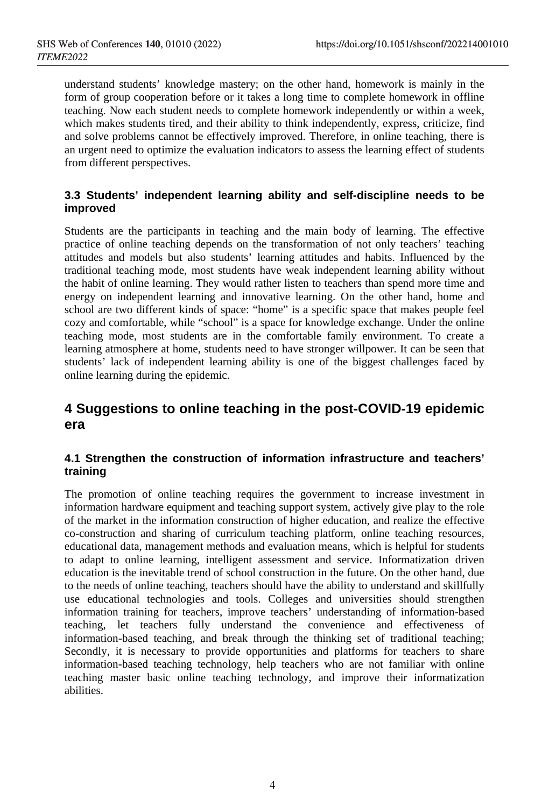understand students' knowledge mastery; on the other hand, homework is mainly in the form of group cooperation before or it takes a long time to complete homework in offline teaching. Now each student needs to complete homework independently or within a week, which makes students tired, and their ability to think independently, express, criticize, find and solve problems cannot be effectively improved. Therefore, in online teaching, there is an urgent need to optimize the evaluation indicators to assess the learning effect of students from different perspectives.

#### **3.3 Students' independent learning ability and self-discipline needs to be improved**

Students are the participants in teaching and the main body of learning. The effective practice of online teaching depends on the transformation of not only teachers' teaching attitudes and models but also students' learning attitudes and habits. Influenced by the traditional teaching mode, most students have weak independent learning ability without the habit of online learning. They would rather listen to teachers than spend more time and energy on independent learning and innovative learning. On the other hand, home and school are two different kinds of space: "home" is a specific space that makes people feel cozy and comfortable, while "school" is a space for knowledge exchange. Under the online teaching mode, most students are in the comfortable family environment. To create a learning atmosphere at home, students need to have stronger willpower. It can be seen that students' lack of independent learning ability is one of the biggest challenges faced by online learning during the epidemic.

## **4 Suggestions to online teaching in the post-COVID-19 epidemic era**

#### **4.1 Strengthen the construction of information infrastructure and teachers' training**

The promotion of online teaching requires the government to increase investment in information hardware equipment and teaching support system, actively give play to the role of the market in the information construction of higher education, and realize the effective co-construction and sharing of curriculum teaching platform, online teaching resources, educational data, management methods and evaluation means, which is helpful for students to adapt to online learning, intelligent assessment and service. Informatization driven education is the inevitable trend of school construction in the future. On the other hand, due to the needs of online teaching, teachers should have the ability to understand and skillfully use educational technologies and tools. Colleges and universities should strengthen information training for teachers, improve teachers' understanding of information-based teaching, let teachers fully understand the convenience and effectiveness of information-based teaching, and break through the thinking set of traditional teaching; Secondly, it is necessary to provide opportunities and platforms for teachers to share information-based teaching technology, help teachers who are not familiar with online teaching master basic online teaching technology, and improve their informatization abilities.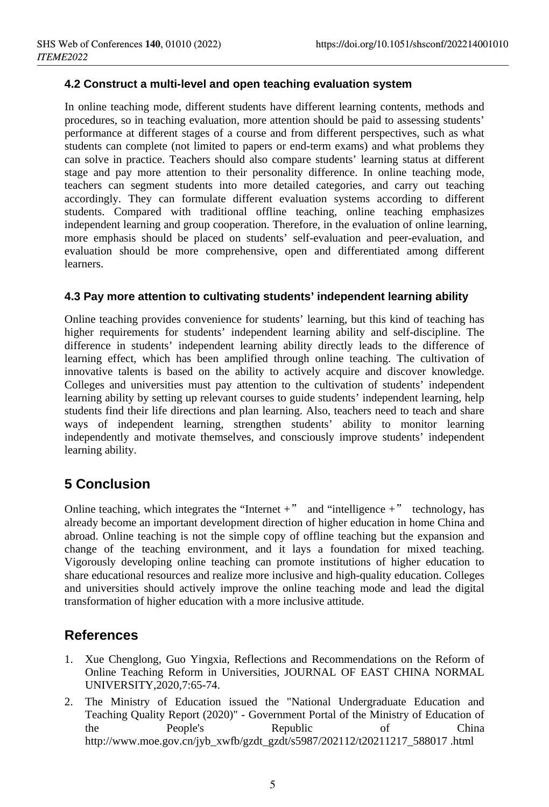#### **4.2 Construct a multi-level and open teaching evaluation system**

In online teaching mode, different students have different learning contents, methods and procedures, so in teaching evaluation, more attention should be paid to assessing students' performance at different stages of a course and from different perspectives, such as what students can complete (not limited to papers or end-term exams) and what problems they can solve in practice. Teachers should also compare students' learning status at different stage and pay more attention to their personality difference. In online teaching mode, teachers can segment students into more detailed categories, and carry out teaching accordingly. They can formulate different evaluation systems according to different students. Compared with traditional offline teaching, online teaching emphasizes independent learning and group cooperation. Therefore, in the evaluation of online learning, more emphasis should be placed on students' self-evaluation and peer-evaluation, and evaluation should be more comprehensive, open and differentiated among different learners.

#### **4.3 Pay more attention to cultivating students' independent learning ability**

Online teaching provides convenience for students' learning, but this kind of teaching has higher requirements for students' independent learning ability and self-discipline. The difference in students' independent learning ability directly leads to the difference of learning effect, which has been amplified through online teaching. The cultivation of innovative talents is based on the ability to actively acquire and discover knowledge. Colleges and universities must pay attention to the cultivation of students' independent learning ability by setting up relevant courses to guide students' independent learning, help students find their life directions and plan learning. Also, teachers need to teach and share ways of independent learning, strengthen students' ability to monitor learning independently and motivate themselves, and consciously improve students' independent learning ability.

## **5 Conclusion**

Online teaching, which integrates the "Internet  $+$ " and "intelligence  $+$ " technology, has already become an important development direction of higher education in home China and abroad. Online teaching is not the simple copy of offline teaching but the expansion and change of the teaching environment, and it lays a foundation for mixed teaching. Vigorously developing online teaching can promote institutions of higher education to share educational resources and realize more inclusive and high-quality education. Colleges and universities should actively improve the online teaching mode and lead the digital transformation of higher education with a more inclusive attitude.

## **References**

- 1. Xue Chenglong, Guo Yingxia, Reflections and Recommendations on the Reform of Online Teaching Reform in Universities, JOURNAL OF EAST CHINA NORMAL UNIVERSITY,2020,7:65-74.
- 2. The Ministry of Education issued the "National Undergraduate Education and Teaching Quality Report (2020)" - Government Portal of the Ministry of Education of the People's Republic of China http://www.moe.gov.cn/jyb\_xwfb/gzdt\_gzdt/s5987/202112/t20211217\_588017 .html